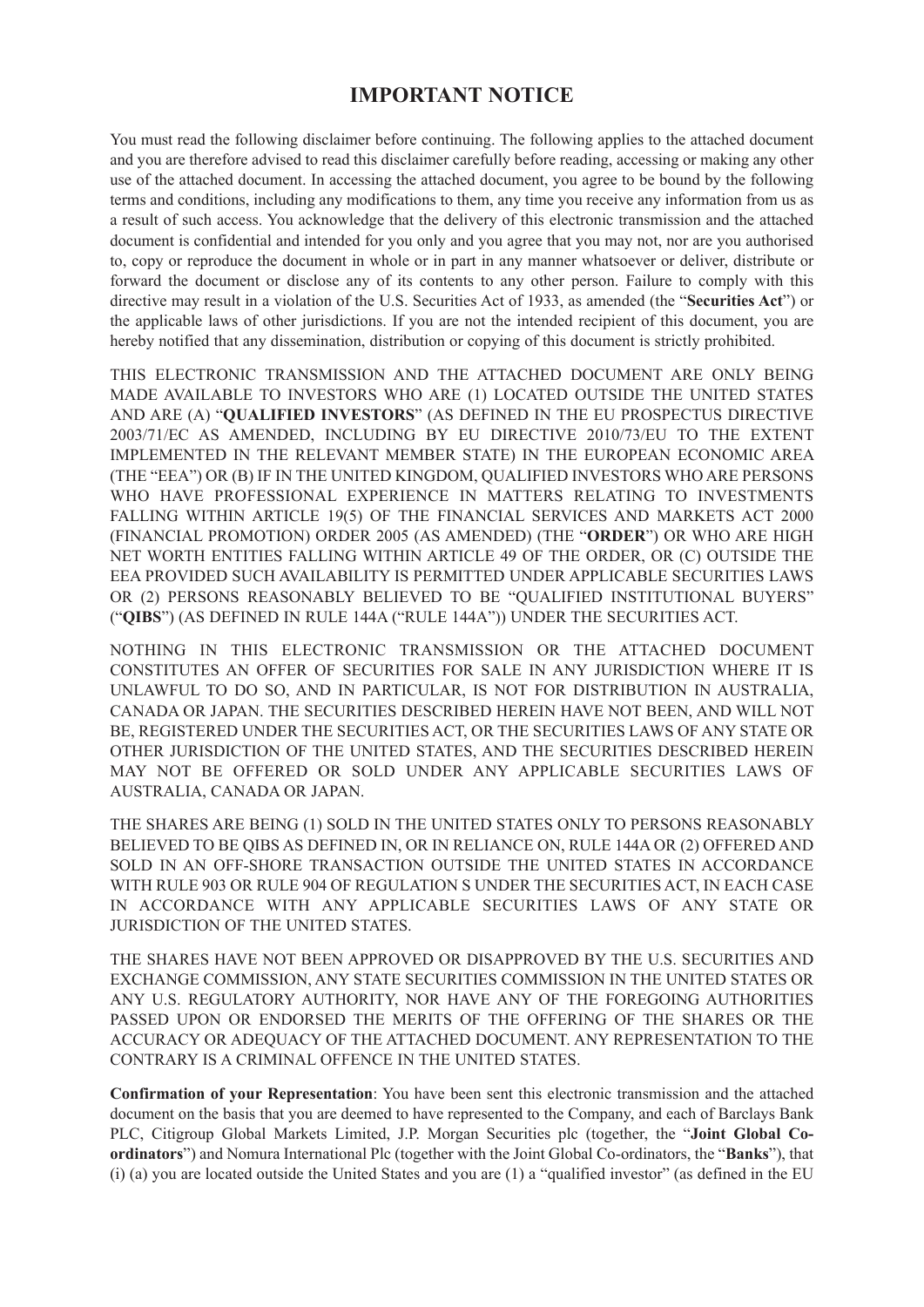# **IMPORTANT NOTICE**

You must read the following disclaimer before continuing. The following applies to the attached document and you are therefore advised to read this disclaimer carefully before reading, accessing or making any other use of the attached document. In accessing the attached document, you agree to be bound by the following terms and conditions, including any modifications to them, any time you receive any information from us as a result of such access. You acknowledge that the delivery of this electronic transmission and the attached document is confidential and intended for you only and you agree that you may not, nor are you authorised to, copy or reproduce the document in whole or in part in any manner whatsoever or deliver, distribute or forward the document or disclose any of its contents to any other person. Failure to comply with this directive may result in a violation of the U.S. Securities Act of 1933, as amended (the "**Securities Act**") or the applicable laws of other jurisdictions. If you are not the intended recipient of this document, you are hereby notified that any dissemination, distribution or copying of this document is strictly prohibited.

THIS ELECTRONIC TRANSMISSION AND THE ATTACHED DOCUMENT ARE ONLY BEING MADE AVAILABLE TO INVESTORS WHO ARE (1) LOCATED OUTSIDE THE UNITED STATES AND ARE (A) "**QUALIFIED INVESTORS**" (AS DEFINED IN THE EU PROSPECTUS DIRECTIVE 2003/71/EC AS AMENDED, INCLUDING BY EU DIRECTIVE 2010/73/EU TO THE EXTENT IMPLEMENTED IN THE RELEVANT MEMBER STATE) IN THE EUROPEAN ECONOMIC AREA (THE "EEA") OR (B) IF IN THE UNITED KINGDOM, QUALIFIED INVESTORS WHO ARE PERSONS WHO HAVE PROFESSIONAL EXPERIENCE IN MATTERS RELATING TO INVESTMENTS FALLING WITHIN ARTICLE 19(5) OF THE FINANCIAL SERVICES AND MARKETS ACT 2000 (FINANCIAL PROMOTION) ORDER 2005 (AS AMENDED) (THE "**ORDER**") OR WHO ARE HIGH NET WORTH ENTITIES FALLING WITHIN ARTICLE 49 OF THE ORDER, OR (C) OUTSIDE THE EEA PROVIDED SUCH AVAILABILITY IS PERMITTED UNDER APPLICABLE SECURITIES LAWS OR (2) PERSONS REASONABLY BELIEVED TO BE "QUALIFIED INSTITUTIONAL BUYERS" ("**QIBS**") (AS DEFINED IN RULE 144A ("RULE 144A")) UNDER THE SECURITIES ACT.

NOTHING IN THIS ELECTRONIC TRANSMISSION OR THE ATTACHED DOCUMENT CONSTITUTES AN OFFER OF SECURITIES FOR SALE IN ANY JURISDICTION WHERE IT IS UNLAWFUL TO DO SO, AND IN PARTICULAR, IS NOT FOR DISTRIBUTION IN AUSTRALIA, CANADA OR JAPAN. THE SECURITIES DESCRIBED HEREIN HAVE NOT BEEN, AND WILL NOT BE, REGISTERED UNDER THE SECURITIES ACT, OR THE SECURITIES LAWS OF ANY STATE OR OTHER JURISDICTION OF THE UNITED STATES, AND THE SECURITIES DESCRIBED HEREIN MAY NOT BE OFFERED OR SOLD UNDER ANY APPLICABLE SECURITIES LAWS OF AUSTRALIA, CANADA OR JAPAN.

THE SHARES ARE BEING (1) SOLD IN THE UNITED STATES ONLY TO PERSONS REASONABLY BELIEVED TO BE QIBS AS DEFINED IN, OR IN RELIANCE ON, RULE 144A OR (2) OFFERED AND SOLD IN AN OFF-SHORE TRANSACTION OUTSIDE THE UNITED STATES IN ACCORDANCE WITH RULE 903 OR RULE 904 OF REGULATION S UNDER THE SECURITIES ACT, IN EACH CASE IN ACCORDANCE WITH ANY APPLICABLE SECURITIES LAWS OF ANY STATE OR JURISDICTION OF THE UNITED STATES.

THE SHARES HAVE NOT BEEN APPROVED OR DISAPPROVED BY THE U.S. SECURITIES AND EXCHANGE COMMISSION, ANY STATE SECURITIES COMMISSION IN THE UNITED STATES OR ANY U.S. REGULATORY AUTHORITY, NOR HAVE ANY OF THE FOREGOING AUTHORITIES PASSED UPON OR ENDORSED THE MERITS OF THE OFFERING OF THE SHARES OR THE ACCURACY OR ADEQUACY OF THE ATTACHED DOCUMENT. ANY REPRESENTATION TO THE CONTRARY IS A CRIMINAL OFFENCE IN THE UNITED STATES.

**Confirmation of your Representation**: You have been sent this electronic transmission and the attached document on the basis that you are deemed to have represented to the Company, and each of Barclays Bank PLC, Citigroup Global Markets Limited, J.P. Morgan Securities plc (together, the "**Joint Global Coordinators**") and Nomura International Plc (together with the Joint Global Co-ordinators, the "**Banks**"), that (i) (a) you are located outside the United States and you are (1) a "qualified investor" (as defined in the EU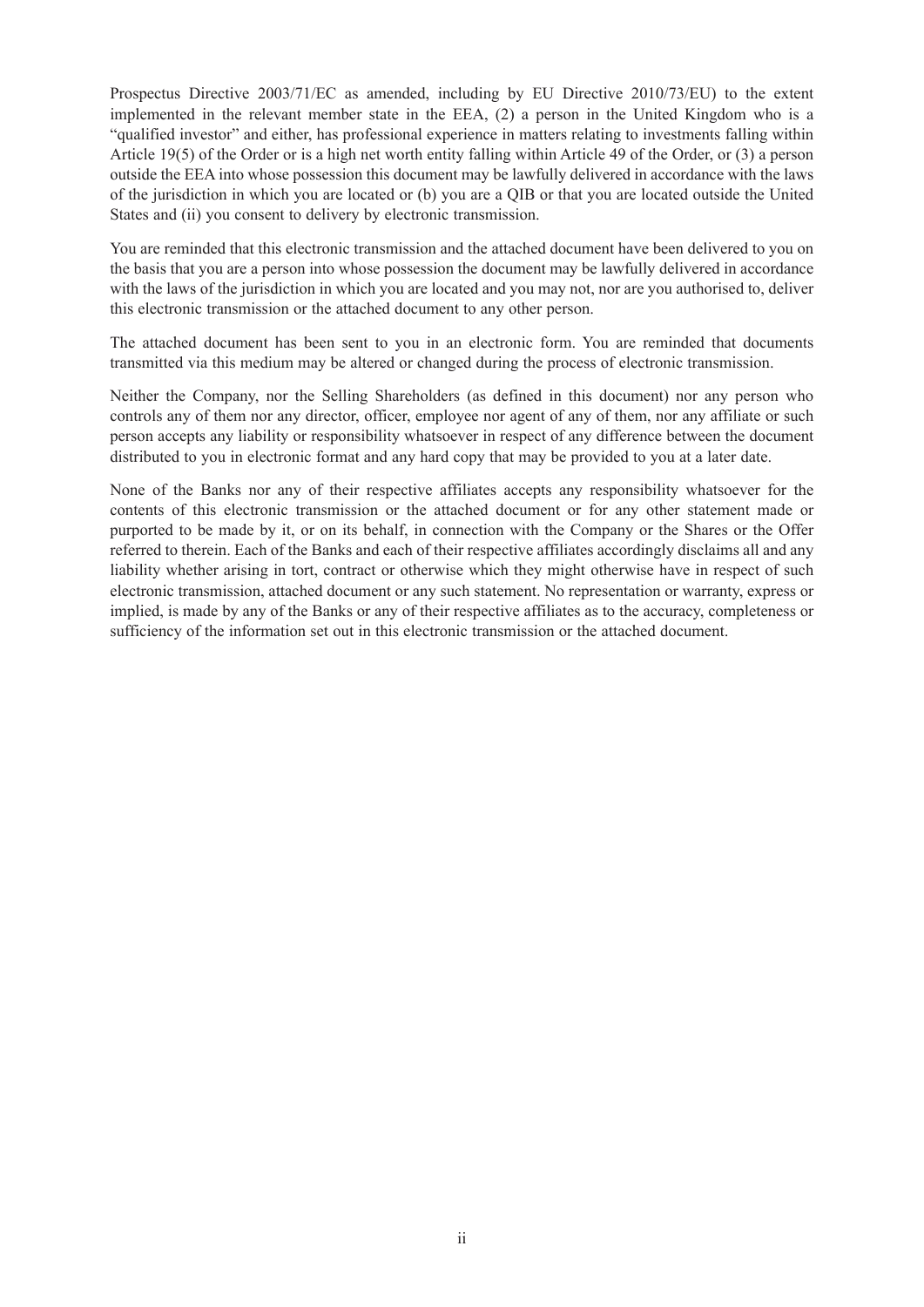Prospectus Directive 2003/71/EC as amended, including by EU Directive 2010/73/EU) to the extent implemented in the relevant member state in the EEA, (2) a person in the United Kingdom who is a "qualified investor" and either, has professional experience in matters relating to investments falling within Article 19(5) of the Order or is a high net worth entity falling within Article 49 of the Order, or (3) a person outside the EEA into whose possession this document may be lawfully delivered in accordance with the laws of the jurisdiction in which you are located or (b) you are a QIB or that you are located outside the United States and (ii) you consent to delivery by electronic transmission.

You are reminded that this electronic transmission and the attached document have been delivered to you on the basis that you are a person into whose possession the document may be lawfully delivered in accordance with the laws of the jurisdiction in which you are located and you may not, nor are you authorised to, deliver this electronic transmission or the attached document to any other person.

The attached document has been sent to you in an electronic form. You are reminded that documents transmitted via this medium may be altered or changed during the process of electronic transmission.

Neither the Company, nor the Selling Shareholders (as defined in this document) nor any person who controls any of them nor any director, officer, employee nor agent of any of them, nor any affiliate or such person accepts any liability or responsibility whatsoever in respect of any difference between the document distributed to you in electronic format and any hard copy that may be provided to you at a later date.

None of the Banks nor any of their respective affiliates accepts any responsibility whatsoever for the contents of this electronic transmission or the attached document or for any other statement made or purported to be made by it, or on its behalf, in connection with the Company or the Shares or the Offer referred to therein. Each of the Banks and each of their respective affiliates accordingly disclaims all and any liability whether arising in tort, contract or otherwise which they might otherwise have in respect of such electronic transmission, attached document or any such statement. No representation or warranty, express or implied, is made by any of the Banks or any of their respective affiliates as to the accuracy, completeness or sufficiency of the information set out in this electronic transmission or the attached document.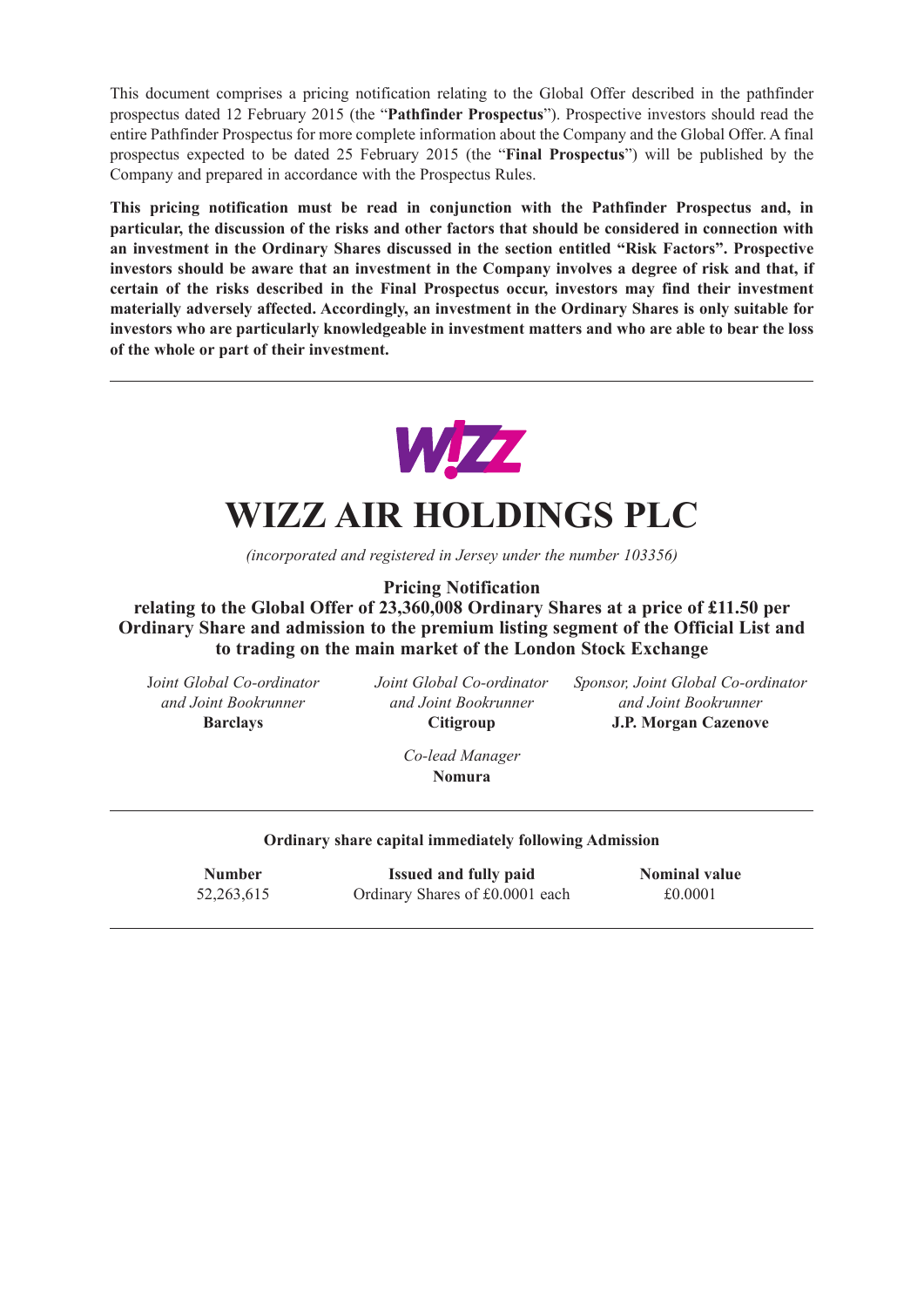This document comprises a pricing notification relating to the Global Offer described in the pathfinder prospectus dated 12 February 2015 (the "**Pathfinder Prospectus**"). Prospective investors should read the entire Pathfinder Prospectus for more complete information about the Company and the Global Offer. A final prospectus expected to be dated 25 February 2015 (the "**Final Prospectus**") will be published by the Company and prepared in accordance with the Prospectus Rules.

**This pricing notification must be read in conjunction with the Pathfinder Prospectus and, in particular, the discussion of the risks and other factors that should be considered in connection with an investment in the Ordinary Shares discussed in the section entitled "Risk Factors". Prospective investors should be aware that an investment in the Company involves a degree of risk and that, if certain of the risks described in the Final Prospectus occur, investors may find their investment materially adversely affected. Accordingly, an investment in the Ordinary Shares is only suitable for investors who are particularly knowledgeable in investment matters and who are able to bear the loss of the whole or part of their investment.**



# **WIZZ AIR HOLDINGS PLC**

*(incorporated and registered in Jersey under the number 103356)*

**Pricing Notification**

**relating to the Global Offer of 23,360,008 Ordinary Shares at a price of £11.50 per Ordinary Share and admission to the premium listing segment of the Official List and to trading on the main market of the London Stock Exchange**

J*oint Global Co-ordinator Joint Global Co-ordinator Sponsor, Joint Global Co-ordinator and Joint Bookrunner and Joint Bookrunner and Joint Bookrunner* **Barclays Citigroup J.P. Morgan Cazenove**

> *Co-lead Manager* **Nomura**

#### **Ordinary share capital immediately following Admission**

| <b>Number</b> | <b>Issued and fully paid</b>    | <b>Nominal value</b> |
|---------------|---------------------------------|----------------------|
| 52, 263, 615  | Ordinary Shares of £0.0001 each | £0.0001              |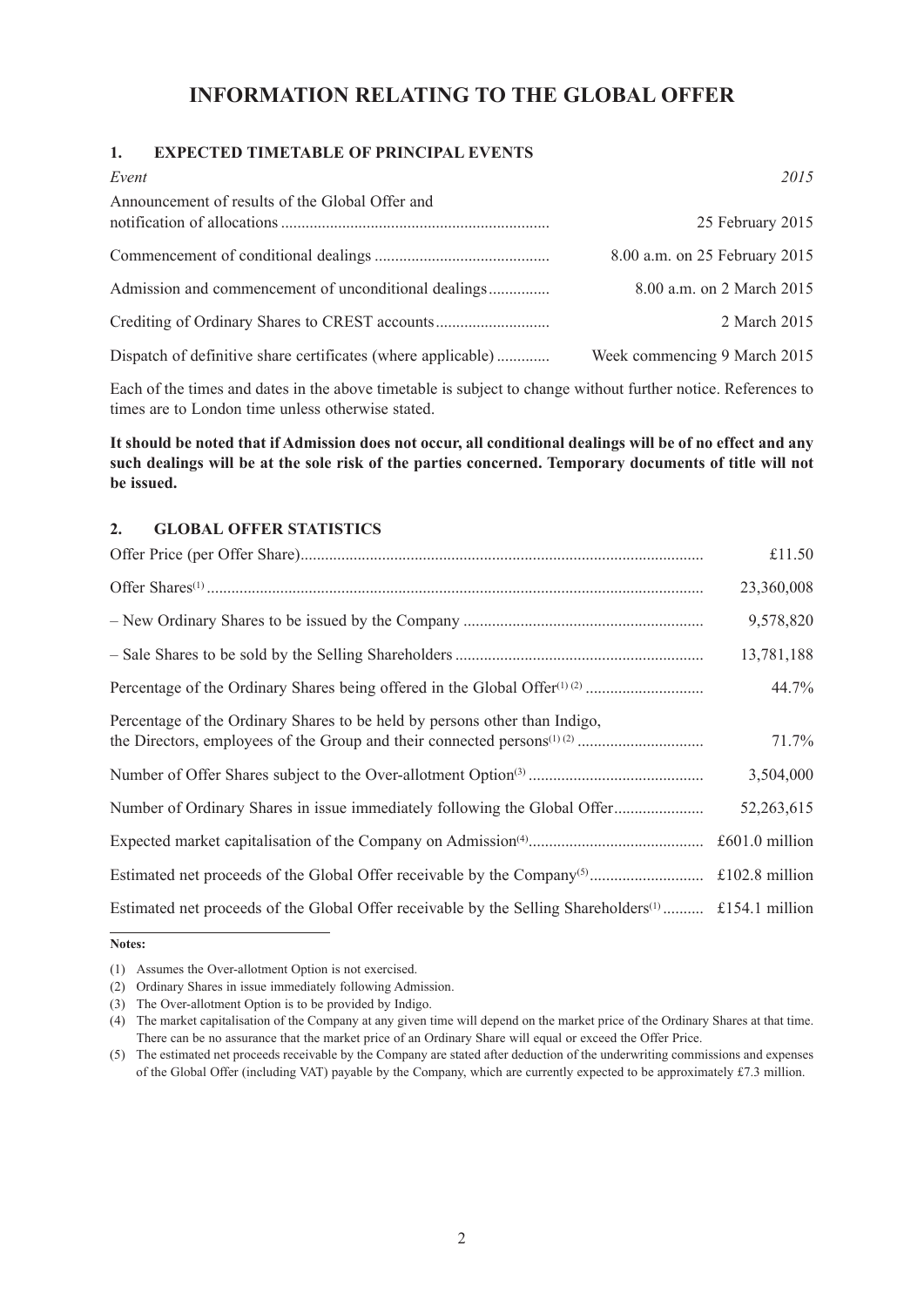# **INFORMATION RELATING TO THE GLOBAL OFFER**

## **1. EXPECTED TIMETABLE OF PRINCIPAL EVENTS**

| Event                                                        | 2015                          |
|--------------------------------------------------------------|-------------------------------|
| Announcement of results of the Global Offer and              | 25 February 2015              |
|                                                              | 8.00 a.m. on 25 February 2015 |
| Admission and commencement of unconditional dealings         | 8.00 a.m. on 2 March 2015     |
|                                                              | 2 March 2015                  |
| Dispatch of definitive share certificates (where applicable) | Week commencing 9 March 2015  |

Each of the times and dates in the above timetable is subject to change without further notice. References to times are to London time unless otherwise stated.

It should be noted that if Admission does not occur, all conditional dealings will be of no effect and any such dealings will be at the sole risk of the parties concerned. Temporary documents of title will not **be issued.**

## **2. GLOBAL OFFER STATISTICS**

|                                                                                                                 | £11.50           |
|-----------------------------------------------------------------------------------------------------------------|------------------|
|                                                                                                                 | 23,360,008       |
|                                                                                                                 | 9,578,820        |
|                                                                                                                 | 13,781,188       |
|                                                                                                                 | 44.7%            |
| Percentage of the Ordinary Shares to be held by persons other than Indigo,                                      | 71.7%            |
|                                                                                                                 | 3,504,000        |
| Number of Ordinary Shares in issue immediately following the Global Offer                                       | 52,263,615       |
|                                                                                                                 | $£601.0$ million |
|                                                                                                                 |                  |
| Estimated net proceeds of the Global Offer receivable by the Selling Shareholders <sup>(1)</sup> £154.1 million |                  |

**Notes:**

<sup>(1)</sup> Assumes the Over-allotment Option is not exercised.

<sup>(2)</sup> Ordinary Shares in issue immediately following Admission.

<sup>(3)</sup> The Over-allotment Option is to be provided by Indigo.

<sup>(4)</sup> The market capitalisation of the Company at any given time will depend on the market price of the Ordinary Shares at that time. There can be no assurance that the market price of an Ordinary Share will equal or exceed the Offer Price.

<sup>(5)</sup> The estimated net proceeds receivable by the Company are stated after deduction of the underwriting commissions and expenses of the Global Offer (including VAT) payable by the Company, which are currently expected to be approximately £7.3 million.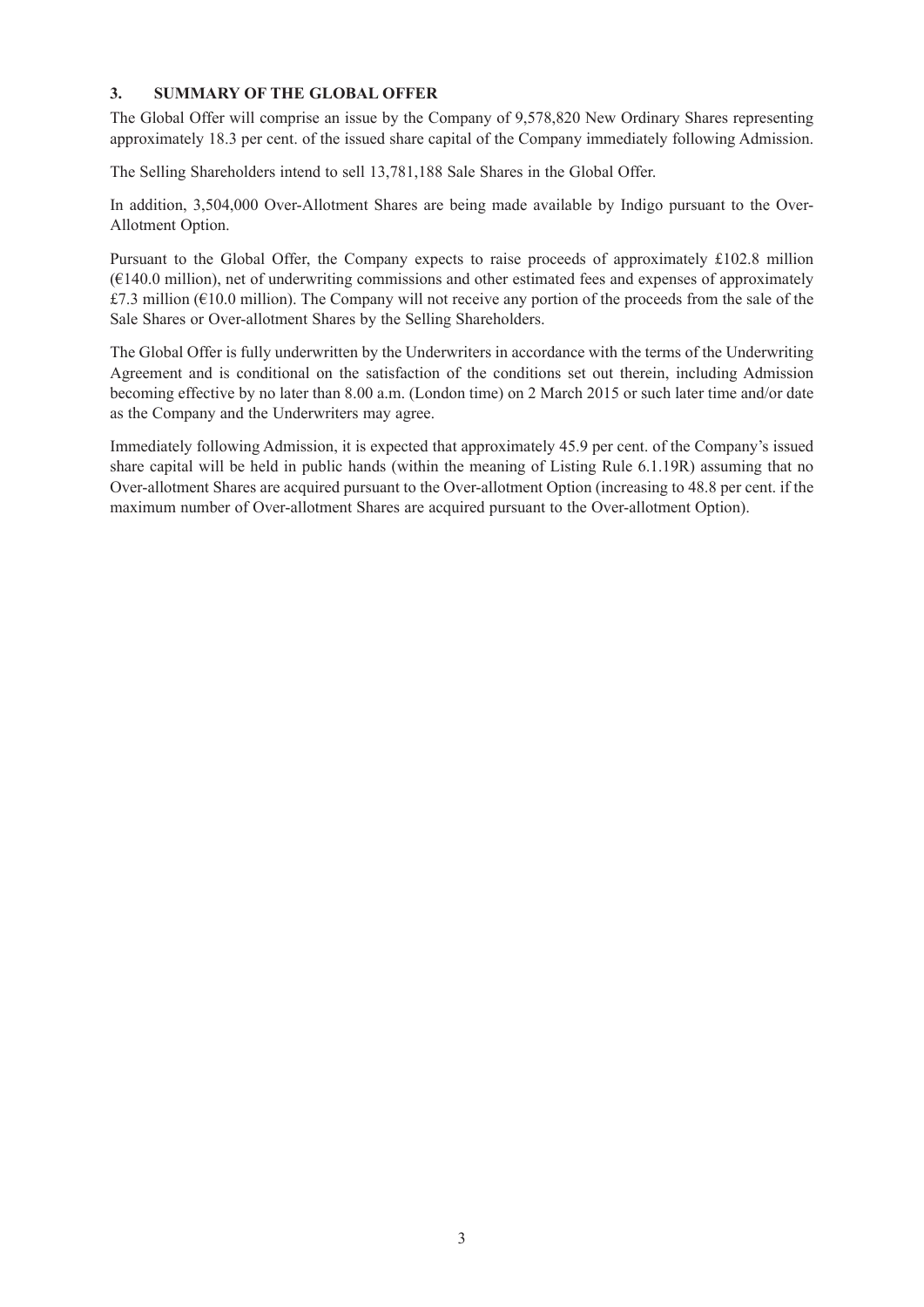## **3. SUMMARY OF THE GLOBAL OFFER**

The Global Offer will comprise an issue by the Company of 9,578,820 New Ordinary Shares representing approximately 18.3 per cent. of the issued share capital of the Company immediately following Admission.

The Selling Shareholders intend to sell 13,781,188 Sale Shares in the Global Offer.

In addition, 3,504,000 Over-Allotment Shares are being made available by Indigo pursuant to the Over-Allotment Option.

Pursuant to the Global Offer, the Company expects to raise proceeds of approximately £102.8 million (€140.0 million), net of underwriting commissions and other estimated fees and expenses of approximately £7.3 million (€10.0 million). The Company will not receive any portion of the proceeds from the sale of the Sale Shares or Over-allotment Shares by the Selling Shareholders.

The Global Offer is fully underwritten by the Underwriters in accordance with the terms of the Underwriting Agreement and is conditional on the satisfaction of the conditions set out therein, including Admission becoming effective by no later than 8.00 a.m. (London time) on 2 March 2015 or such later time and/or date as the Company and the Underwriters may agree.

Immediately following Admission, it is expected that approximately 45.9 per cent. of the Company's issued share capital will be held in public hands (within the meaning of Listing Rule 6.1.19R) assuming that no Over-allotment Shares are acquired pursuant to the Over-allotment Option (increasing to 48.8 per cent. if the maximum number of Over-allotment Shares are acquired pursuant to the Over-allotment Option).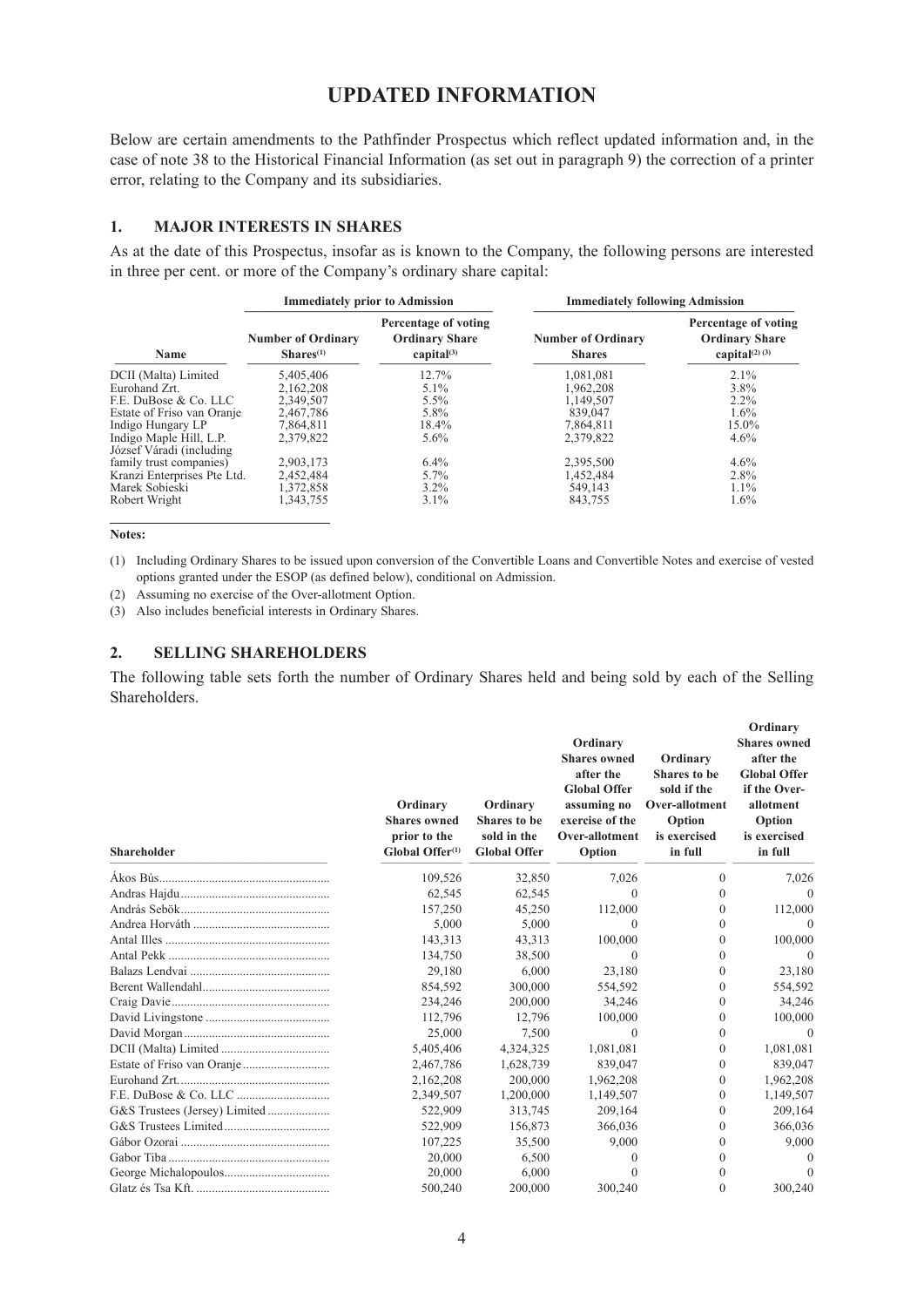## **UPDATED INFORMATION**

Below are certain amendments to the Pathfinder Prospectus which reflect updated information and, in the case of note 38 to the Historical Financial Information (as set out in paragraph 9) the correction of a printer error, relating to the Company and its subsidiaries.

#### **1. MAJOR INTERESTS IN SHARES**

As at the date of this Prospectus, insofar as is known to the Company, the following persons are interested in three per cent. or more of the Company's ordinary share capital:

|                                                      |                                                    | <b>Immediately prior to Admission</b>                          |                                            | <b>Immediately following Admission</b>                               |  |
|------------------------------------------------------|----------------------------------------------------|----------------------------------------------------------------|--------------------------------------------|----------------------------------------------------------------------|--|
| Name                                                 | <b>Number of Ordinary</b><br>Shares <sup>(1)</sup> | Percentage of voting<br><b>Ordinary Share</b><br>capital $(3)$ | <b>Number of Ordinary</b><br><b>Shares</b> | Percentage of voting<br><b>Ordinary Share</b><br>capital $(2)$ $(3)$ |  |
| DCII (Malta) Limited                                 | 5,405,406                                          | 12.7%                                                          | 1,081,081                                  | 2.1%                                                                 |  |
| Eurohand Zrt.                                        | 2,162,208                                          | $5.1\%$                                                        | 1,962,208                                  | 3.8%                                                                 |  |
| F.E. DuBose & Co. LLC                                | 2,349,507                                          | $5.5\%$                                                        | 1,149,507                                  | $2.2\%$                                                              |  |
| Estate of Friso van Oranje                           | 2,467,786                                          | 5.8%                                                           | 839,047                                    | $1.6\%$                                                              |  |
| Indigo Hungary LP                                    | 7,864,811                                          | 18.4%                                                          | 7,864,811                                  | 15.0%                                                                |  |
| Indigo Maple Hill, L.P.<br>József Váradi (including) | 2,379,822                                          | $5.6\%$                                                        | 2,379,822                                  | $4.6\%$                                                              |  |
| family trust companies)                              | 2,903,173                                          | $6.4\%$                                                        | 2,395,500                                  | 4.6%                                                                 |  |
| Kranzi Enterprises Pte Ltd.                          | 2,452,484                                          | $5.7\%$                                                        | 1,452,484                                  | 2.8%                                                                 |  |
| Marek Sobieski                                       | 1,372,858                                          | $3.2\%$                                                        | 549,143                                    | $1.1\%$                                                              |  |
| Robert Wright                                        | 343,755                                            | $3.1\%$                                                        | 843,755                                    | 1.6%                                                                 |  |

**Notes:**

(1) Including Ordinary Shares to be issued upon conversion of the Convertible Loans and Convertible Notes and exercise of vested options granted under the ESOP (as defined below), conditional on Admission.

(2) Assuming no exercise of the Over-allotment Option.

(3) Also includes beneficial interests in Ordinary Shares.

#### **2. SELLING SHAREHOLDERS**

The following table sets forth the number of Ordinary Shares held and being sold by each of the Selling Shareholders.

| <b>Shareholder</b> | Ordinary<br><b>Shares owned</b><br>prior to the<br>Global Offer <sup>(1)</sup> | Ordinary<br><b>Shares to be</b><br>sold in the<br><b>Global Offer</b> | Ordinary<br><b>Shares</b> owned<br>after the<br><b>Global Offer</b><br>assuming no<br>exercise of the<br>Over-allotment<br>Option | Ordinary<br><b>Shares to be</b><br>sold if the<br>Over-allotment<br>Option<br>is exercised<br>in full | Ordinary<br><b>Shares</b> owned<br>after the<br><b>Global Offer</b><br>if the Over-<br>allotment<br>Option<br>is exercised<br>in full |
|--------------------|--------------------------------------------------------------------------------|-----------------------------------------------------------------------|-----------------------------------------------------------------------------------------------------------------------------------|-------------------------------------------------------------------------------------------------------|---------------------------------------------------------------------------------------------------------------------------------------|
|                    | 109,526                                                                        | 32,850                                                                | 7,026                                                                                                                             | $\Omega$                                                                                              | 7,026                                                                                                                                 |
|                    | 62,545                                                                         | 62,545                                                                | $\Omega$                                                                                                                          | $\Omega$                                                                                              | $\Omega$                                                                                                                              |
|                    | 157,250                                                                        | 45,250                                                                | 112,000                                                                                                                           | $\Omega$                                                                                              | 112,000                                                                                                                               |
|                    | 5,000                                                                          | 5,000                                                                 | $\Omega$                                                                                                                          | $\Omega$                                                                                              | $\theta$                                                                                                                              |
|                    | 143,313                                                                        | 43,313                                                                | 100,000                                                                                                                           | $\Omega$                                                                                              | 100,000                                                                                                                               |
|                    | 134,750                                                                        | 38,500                                                                | $\Omega$                                                                                                                          | $\Omega$                                                                                              | $\Omega$                                                                                                                              |
|                    | 29,180                                                                         | 6,000                                                                 | 23,180                                                                                                                            | $\Omega$                                                                                              | 23,180                                                                                                                                |
|                    | 854.592                                                                        | 300,000                                                               | 554.592                                                                                                                           | $\Omega$                                                                                              | 554,592                                                                                                                               |
|                    | 234,246                                                                        | 200,000                                                               | 34,246                                                                                                                            | $\Omega$                                                                                              | 34,246                                                                                                                                |
|                    | 112,796                                                                        | 12,796                                                                | 100,000                                                                                                                           | $\Omega$                                                                                              | 100,000                                                                                                                               |
|                    | 25,000                                                                         | 7,500                                                                 | $\Omega$                                                                                                                          | $\Omega$                                                                                              | $\Omega$                                                                                                                              |
|                    | 5,405,406                                                                      | 4,324,325                                                             | 1,081,081                                                                                                                         | $\Omega$                                                                                              | 1,081,081                                                                                                                             |
|                    | 2,467,786                                                                      | 1,628,739                                                             | 839.047                                                                                                                           | $\Omega$                                                                                              | 839,047                                                                                                                               |
|                    | 2,162,208                                                                      | 200,000                                                               | 1,962,208                                                                                                                         | $\theta$                                                                                              | 1,962,208                                                                                                                             |
|                    | 2,349,507                                                                      | 1,200,000                                                             | 1,149,507                                                                                                                         | $\Omega$                                                                                              | 1,149,507                                                                                                                             |
|                    | 522,909                                                                        | 313,745                                                               | 209,164                                                                                                                           | $\Omega$                                                                                              | 209,164                                                                                                                               |
|                    | 522,909                                                                        | 156,873                                                               | 366,036                                                                                                                           | $\Omega$                                                                                              | 366,036                                                                                                                               |
|                    | 107,225                                                                        | 35,500                                                                | 9,000                                                                                                                             | $\Omega$                                                                                              | 9,000                                                                                                                                 |
|                    | 20,000                                                                         | 6,500                                                                 | $\Omega$                                                                                                                          | $\Omega$                                                                                              | $\Omega$                                                                                                                              |
|                    | 20,000                                                                         | 6,000                                                                 | 0                                                                                                                                 | $\Omega$                                                                                              | $\theta$                                                                                                                              |
|                    | 500.240                                                                        | 200,000                                                               | 300.240                                                                                                                           | 0                                                                                                     | 300.240                                                                                                                               |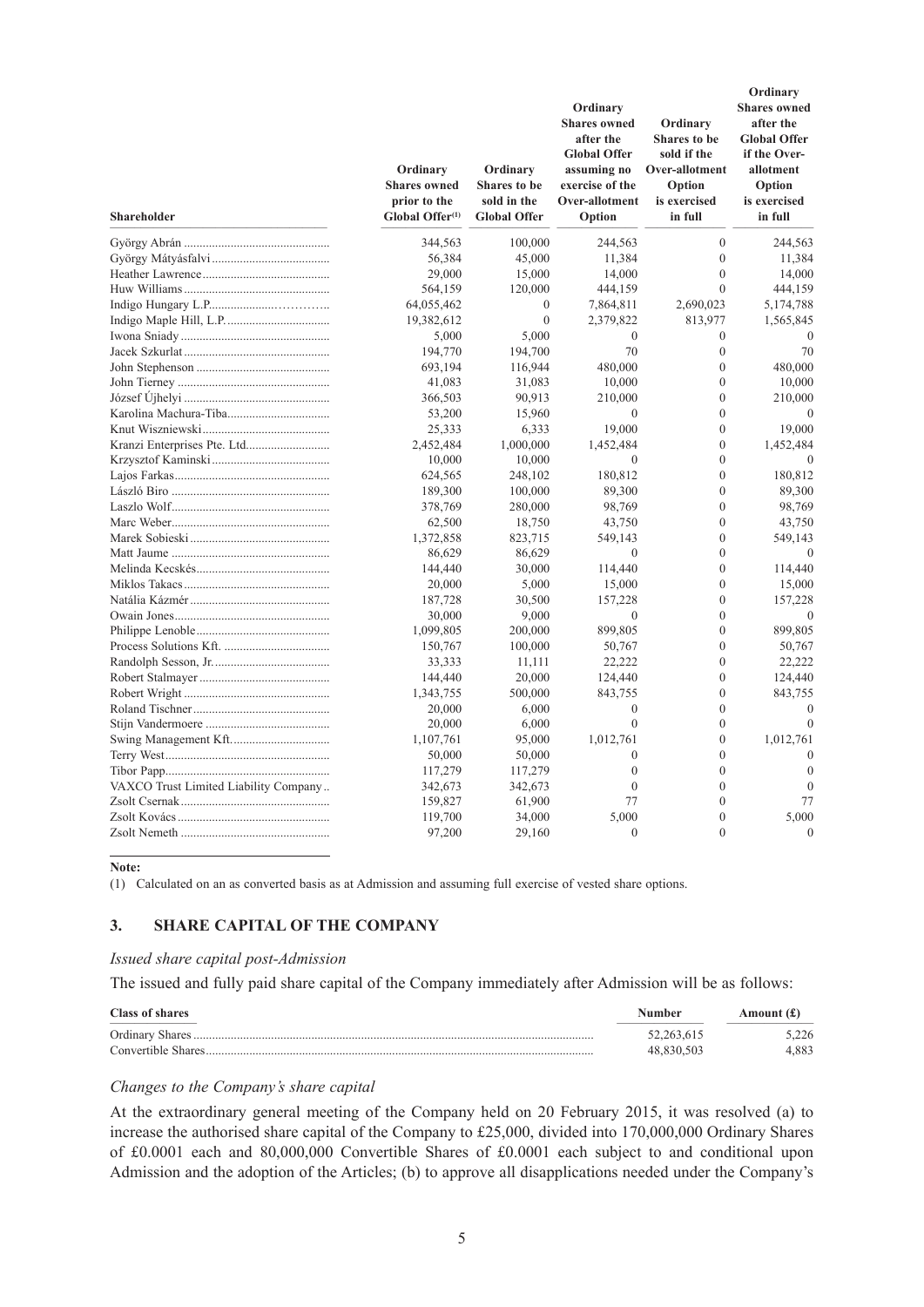| Shareholder                           | Ordinary<br><b>Shares</b> owned<br>prior to the<br>Global Offer <sup>(1)</sup> | Ordinary<br><b>Shares to be</b><br>sold in the<br><b>Global Offer</b> | Ordinary<br><b>Shares owned</b><br>after the<br><b>Global Offer</b><br>assuming no<br>exercise of the<br>Over-allotment<br>Option | Ordinary<br><b>Shares to be</b><br>sold if the<br>Over-allotment<br>Option<br>is exercised<br>in full | Ordinary<br><b>Shares</b> owned<br>after the<br><b>Global Offer</b><br>if the Over-<br>allotment<br>Option<br>is exercised<br>in full |
|---------------------------------------|--------------------------------------------------------------------------------|-----------------------------------------------------------------------|-----------------------------------------------------------------------------------------------------------------------------------|-------------------------------------------------------------------------------------------------------|---------------------------------------------------------------------------------------------------------------------------------------|
|                                       | 344,563                                                                        | 100,000                                                               | 244,563                                                                                                                           | $\mathbf{0}$                                                                                          | 244,563                                                                                                                               |
|                                       | 56,384                                                                         | 45,000                                                                | 11,384                                                                                                                            | $\mathbf{0}$                                                                                          | 11,384                                                                                                                                |
|                                       | 29,000                                                                         | 15,000                                                                | 14,000                                                                                                                            | $\mathbf{0}$                                                                                          | 14,000                                                                                                                                |
|                                       | 564,159                                                                        | 120,000                                                               | 444,159                                                                                                                           | $\theta$                                                                                              | 444,159                                                                                                                               |
|                                       | 64,055,462                                                                     | 0                                                                     | 7,864,811                                                                                                                         | 2,690,023                                                                                             | 5,174,788                                                                                                                             |
|                                       | 19,382,612                                                                     | $\mathbf{0}$                                                          | 2,379,822                                                                                                                         | 813,977                                                                                               | 1,565,845                                                                                                                             |
|                                       | 5,000                                                                          | 5,000                                                                 | $\theta$                                                                                                                          | $\mathbf{0}$                                                                                          | $\theta$                                                                                                                              |
|                                       | 194,770                                                                        | 194,700                                                               | 70                                                                                                                                | $\mathbf{0}$                                                                                          | 70                                                                                                                                    |
|                                       | 693,194                                                                        | 116,944                                                               | 480,000                                                                                                                           | $\mathbf{0}$                                                                                          | 480,000                                                                                                                               |
|                                       | 41,083                                                                         | 31,083                                                                | 10,000                                                                                                                            | $\theta$                                                                                              | 10,000                                                                                                                                |
|                                       | 366,503                                                                        | 90,913                                                                | 210,000                                                                                                                           | $\theta$                                                                                              | 210,000                                                                                                                               |
|                                       | 53,200                                                                         | 15,960                                                                | $\mathbf{0}$                                                                                                                      | $\overline{0}$                                                                                        | $\theta$                                                                                                                              |
|                                       | 25,333                                                                         | 6,333                                                                 | 19,000                                                                                                                            | $\mathbf{0}$                                                                                          | 19,000                                                                                                                                |
|                                       | 2,452,484                                                                      | 1,000,000                                                             | 1,452,484                                                                                                                         | $\mathbf{0}$                                                                                          | 1,452,484                                                                                                                             |
|                                       | 10,000                                                                         | 10,000                                                                | $\theta$                                                                                                                          | $\boldsymbol{0}$                                                                                      | $\Omega$                                                                                                                              |
|                                       | 624,565                                                                        | 248,102                                                               | 180,812                                                                                                                           | $\mathbf{0}$                                                                                          | 180,812                                                                                                                               |
|                                       | 189,300                                                                        | 100,000                                                               | 89,300                                                                                                                            | $\mathbf{0}$                                                                                          | 89,300                                                                                                                                |
|                                       | 378,769                                                                        | 280,000                                                               | 98,769                                                                                                                            | $\theta$                                                                                              | 98,769                                                                                                                                |
|                                       | 62,500                                                                         | 18,750                                                                | 43,750                                                                                                                            | $\mathbf{0}$                                                                                          | 43,750                                                                                                                                |
|                                       | 1,372,858                                                                      | 823,715                                                               | 549,143                                                                                                                           | $\mathbf{0}$                                                                                          | 549,143                                                                                                                               |
|                                       | 86,629                                                                         | 86,629                                                                | $\theta$                                                                                                                          | $\theta$                                                                                              | $\theta$                                                                                                                              |
|                                       | 144,440                                                                        | 30,000                                                                | 114,440                                                                                                                           | $\theta$                                                                                              | 114,440                                                                                                                               |
|                                       | 20,000                                                                         | 5,000                                                                 | 15,000                                                                                                                            | $\mathbf{0}$                                                                                          | 15,000                                                                                                                                |
|                                       | 187,728                                                                        | 30,500                                                                | 157,228                                                                                                                           | $\mathbf{0}$                                                                                          | 157,228                                                                                                                               |
|                                       | 30,000                                                                         | 9,000                                                                 | $\theta$                                                                                                                          | $\mathbf{0}$                                                                                          | $\theta$                                                                                                                              |
|                                       | 1,099,805                                                                      | 200,000                                                               | 899,805                                                                                                                           | $\boldsymbol{0}$                                                                                      | 899,805                                                                                                                               |
|                                       | 150,767                                                                        | 100,000                                                               | 50,767                                                                                                                            | $\mathbf{0}$                                                                                          | 50,767                                                                                                                                |
|                                       | 33,333                                                                         | 11,111                                                                | 22,222                                                                                                                            | $\mathbf{0}$                                                                                          | 22,222                                                                                                                                |
|                                       | 144,440                                                                        | 20,000                                                                | 124,440                                                                                                                           | $\theta$                                                                                              | 124,440                                                                                                                               |
|                                       | 1,343,755                                                                      | 500,000                                                               | 843,755                                                                                                                           | $\mathbf{0}$                                                                                          | 843,755                                                                                                                               |
|                                       | 20,000                                                                         | 6,000                                                                 | $\theta$                                                                                                                          | $\theta$                                                                                              | $\theta$                                                                                                                              |
|                                       | 20,000                                                                         | 6,000                                                                 | $\theta$                                                                                                                          | $\mathbf{0}$                                                                                          | $\theta$                                                                                                                              |
|                                       | 1,107,761                                                                      | 95,000                                                                | 1,012,761                                                                                                                         | $\theta$                                                                                              | 1,012,761                                                                                                                             |
|                                       | 50,000                                                                         | 50,000                                                                | 0                                                                                                                                 | $\mathbf{0}$                                                                                          | $\theta$                                                                                                                              |
|                                       | 117,279                                                                        | 117,279                                                               | $\theta$                                                                                                                          | $\mathbf{0}$                                                                                          | $\theta$                                                                                                                              |
| VAXCO Trust Limited Liability Company | 342,673                                                                        | 342,673                                                               | $\theta$                                                                                                                          | $\mathbf{0}$                                                                                          | $\Omega$                                                                                                                              |
|                                       | 159,827                                                                        | 61,900                                                                | 77                                                                                                                                | $\mathbf{0}$                                                                                          | 77                                                                                                                                    |
|                                       | 119,700                                                                        | 34,000                                                                | 5,000                                                                                                                             | $\mathbf{0}$                                                                                          | 5,000                                                                                                                                 |
|                                       | 97,200                                                                         | 29,160                                                                | $\theta$                                                                                                                          | $\theta$                                                                                              | $\mathbf{0}$                                                                                                                          |

#### **Note:**

(1) Calculated on an as converted basis as at Admission and assuming full exercise of vested share options.

#### **3. SHARE CAPITAL OF THE COMPANY**

#### *Issued share capital post-Admission*

The issued and fully paid share capital of the Company immediately after Admission will be as follows:

| <b>Class of shares</b> | Number       | Amount (£) |
|------------------------|--------------|------------|
| Ordinary Shares.       | 52, 263, 615 | 5.226      |
| Convertible Shares     | 48.830.503   | 4.883      |

#### *Changes to the Company's share capital*

At the extraordinary general meeting of the Company held on 20 February 2015, it was resolved (a) to increase the authorised share capital of the Company to £25,000, divided into 170,000,000 Ordinary Shares of £0.0001 each and 80,000,000 Convertible Shares of £0.0001 each subject to and conditional upon Admission and the adoption of the Articles; (b) to approve all disapplications needed under the Company's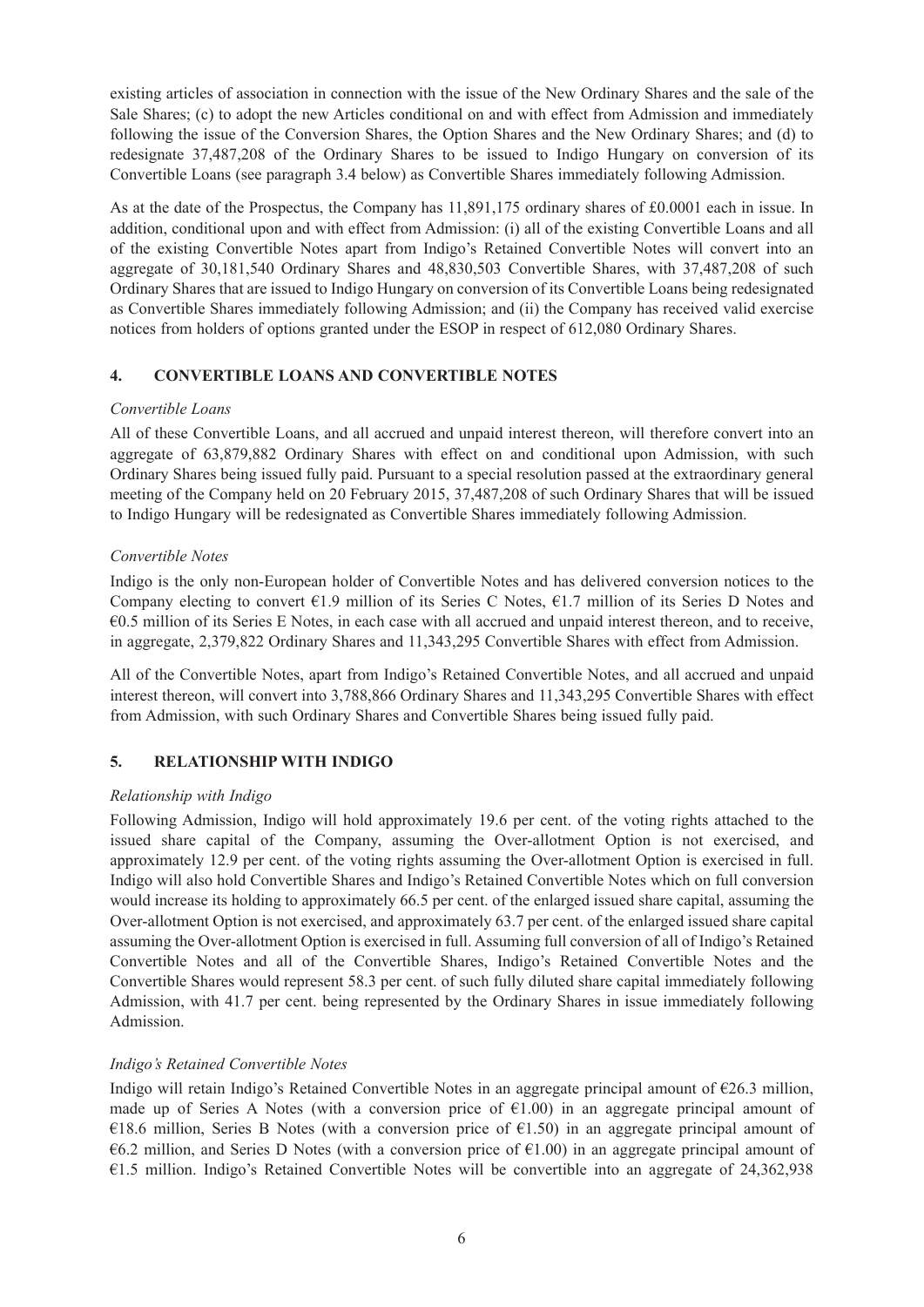existing articles of association in connection with the issue of the New Ordinary Shares and the sale of the Sale Shares; (c) to adopt the new Articles conditional on and with effect from Admission and immediately following the issue of the Conversion Shares, the Option Shares and the New Ordinary Shares; and (d) to redesignate 37,487,208 of the Ordinary Shares to be issued to Indigo Hungary on conversion of its Convertible Loans (see paragraph 3.4 below) as Convertible Shares immediately following Admission.

As at the date of the Prospectus, the Company has 11,891,175 ordinary shares of £0.0001 each in issue. In addition, conditional upon and with effect from Admission: (i) all of the existing Convertible Loans and all of the existing Convertible Notes apart from Indigo's Retained Convertible Notes will convert into an aggregate of 30,181,540 Ordinary Shares and 48,830,503 Convertible Shares, with 37,487,208 of such Ordinary Shares that are issued to Indigo Hungary on conversion of its Convertible Loans being redesignated as Convertible Shares immediately following Admission; and (ii) the Company has received valid exercise notices from holders of options granted under the ESOP in respect of 612,080 Ordinary Shares.

## **4. CONVERTIBLE LOANS AND CONVERTIBLE NOTES**

## *Convertible Loans*

All of these Convertible Loans, and all accrued and unpaid interest thereon, will therefore convert into an aggregate of 63,879,882 Ordinary Shares with effect on and conditional upon Admission, with such Ordinary Shares being issued fully paid. Pursuant to a special resolution passed at the extraordinary general meeting of the Company held on 20 February 2015, 37,487,208 of such Ordinary Shares that will be issued to Indigo Hungary will be redesignated as Convertible Shares immediately following Admission.

## *Convertible Notes*

Indigo is the only non-European holder of Convertible Notes and has delivered conversion notices to the Company electing to convert  $\epsilon$ 1.9 million of its Series C Notes,  $\epsilon$ 1.7 million of its Series D Notes and €0.5 million of its Series E Notes, in each case with all accrued and unpaid interest thereon, and to receive, in aggregate, 2,379,822 Ordinary Shares and 11,343,295 Convertible Shares with effect from Admission.

All of the Convertible Notes, apart from Indigo's Retained Convertible Notes, and all accrued and unpaid interest thereon, will convert into 3,788,866 Ordinary Shares and 11,343,295 Convertible Shares with effect from Admission, with such Ordinary Shares and Convertible Shares being issued fully paid.

## **5. RELATIONSHIP WITH INDIGO**

## *Relationship with Indigo*

Following Admission, Indigo will hold approximately 19.6 per cent. of the voting rights attached to the issued share capital of the Company, assuming the Over-allotment Option is not exercised, and approximately 12.9 per cent. of the voting rights assuming the Over-allotment Option is exercised in full. Indigo will also hold Convertible Shares and Indigo's Retained Convertible Notes which on full conversion would increase its holding to approximately 66.5 per cent. of the enlarged issued share capital, assuming the Over-allotment Option is not exercised, and approximately 63.7 per cent. of the enlarged issued share capital assuming the Over-allotment Option is exercised in full. Assuming full conversion of all of Indigo's Retained Convertible Notes and all of the Convertible Shares, Indigo's Retained Convertible Notes and the Convertible Shares would represent 58.3 per cent. of such fully diluted share capital immediately following Admission, with 41.7 per cent. being represented by the Ordinary Shares in issue immediately following Admission.

## *Indigo's Retained Convertible Notes*

Indigo will retain Indigo's Retained Convertible Notes in an aggregate principal amount of  $\epsilon$ 26.3 million, made up of Series A Notes (with a conversion price of  $E(1.00)$ ) in an aggregate principal amount of €18.6 million, Series B Notes (with a conversion price of €1.50) in an aggregate principal amount of  $\epsilon$ 6.2 million, and Series D Notes (with a conversion price of  $\epsilon$ 1.00) in an aggregate principal amount of €1.5 million. Indigo's Retained Convertible Notes will be convertible into an aggregate of 24,362,938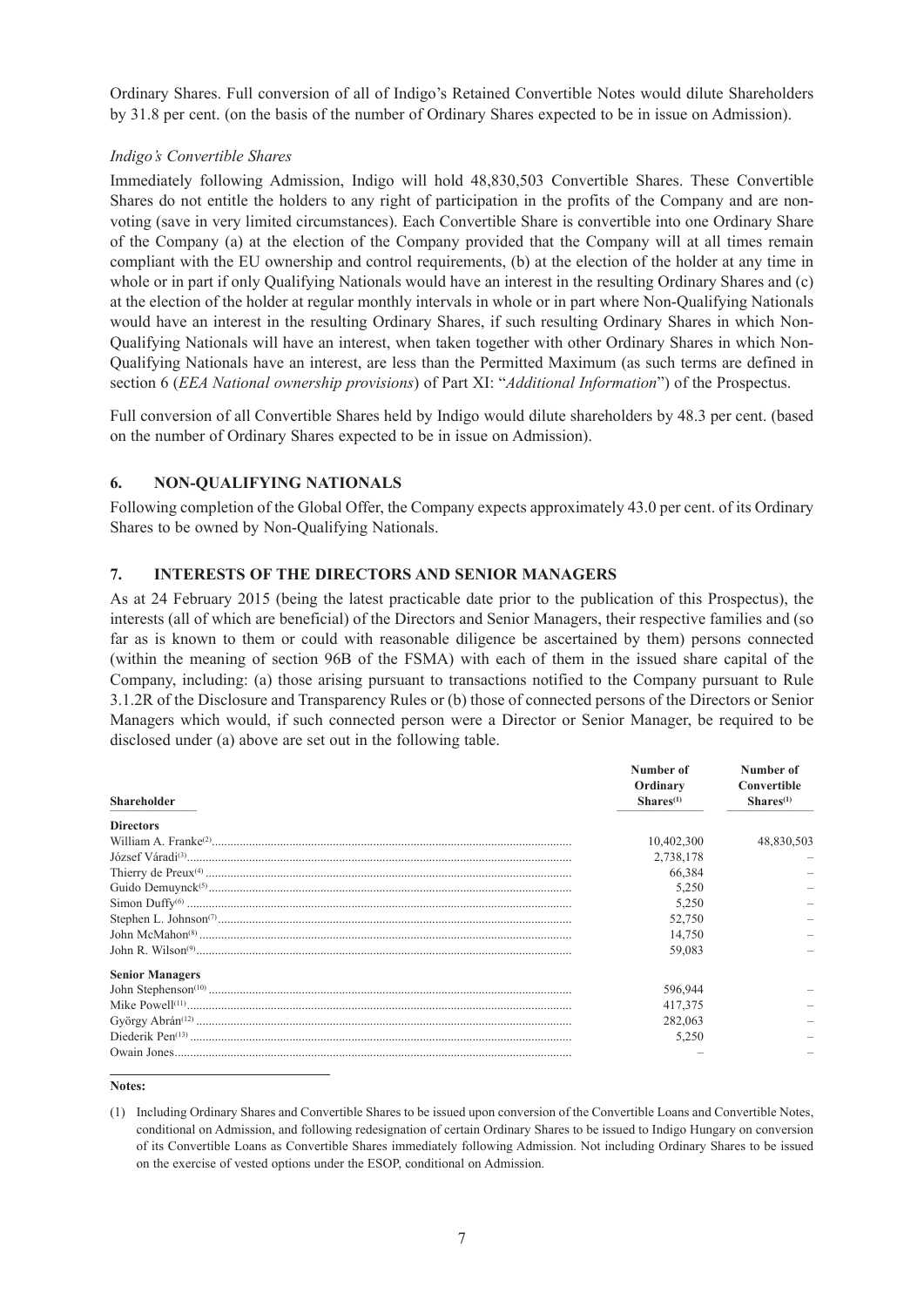Ordinary Shares. Full conversion of all of Indigo's Retained Convertible Notes would dilute Shareholders by 31.8 per cent. (on the basis of the number of Ordinary Shares expected to be in issue on Admission).

## *Indigo's Convertible Shares*

Immediately following Admission, Indigo will hold 48,830,503 Convertible Shares. These Convertible Shares do not entitle the holders to any right of participation in the profits of the Company and are nonvoting (save in very limited circumstances). Each Convertible Share is convertible into one Ordinary Share of the Company (a) at the election of the Company provided that the Company will at all times remain compliant with the EU ownership and control requirements, (b) at the election of the holder at any time in whole or in part if only Qualifying Nationals would have an interest in the resulting Ordinary Shares and (c) at the election of the holder at regular monthly intervals in whole or in part where Non-Qualifying Nationals would have an interest in the resulting Ordinary Shares, if such resulting Ordinary Shares in which Non-Qualifying Nationals will have an interest, when taken together with other Ordinary Shares in which Non-Qualifying Nationals have an interest, are less than the Permitted Maximum (as such terms are defined in section 6 (*EEA National ownership provisions*) of Part XI: "*Additional Information*") of the Prospectus.

Full conversion of all Convertible Shares held by Indigo would dilute shareholders by 48.3 per cent. (based on the number of Ordinary Shares expected to be in issue on Admission).

## **6. NON-QUALIFYING NATIONALS**

Following completion of the Global Offer, the Company expects approximately 43.0 per cent. of its Ordinary Shares to be owned by Non-Qualifying Nationals.

## **7. INTERESTS OF THE DIRECTORS AND SENIOR MANAGERS**

As at 24 February 2015 (being the latest practicable date prior to the publication of this Prospectus), the interests (all of which are beneficial) of the Directors and Senior Managers, their respective families and (so far as is known to them or could with reasonable diligence be ascertained by them) persons connected (within the meaning of section 96B of the FSMA) with each of them in the issued share capital of the Company, including: (a) those arising pursuant to transactions notified to the Company pursuant to Rule 3.1.2R of the Disclosure and Transparency Rules or (b) those of connected persons of the Directors or Senior Managers which would, if such connected person were a Director or Senior Manager, be required to be disclosed under (a) above are set out in the following table.

|                        | Number of      | Number of             |  |
|------------------------|----------------|-----------------------|--|
|                        | Ordinary       | Convertible           |  |
| <b>Shareholder</b>     | $Shares^{(1)}$ | Shares <sup>(1)</sup> |  |
| <b>Directors</b>       |                |                       |  |
|                        | 10,402,300     | 48.830.503            |  |
|                        | 2,738,178      |                       |  |
|                        | 66,384         |                       |  |
|                        | 5,250          |                       |  |
|                        | 5,250          |                       |  |
|                        | 52,750         |                       |  |
|                        | 14,750         |                       |  |
|                        | 59.083         |                       |  |
| <b>Senior Managers</b> |                |                       |  |
|                        | 596,944        |                       |  |
|                        | 417,375        |                       |  |
|                        | 282,063        |                       |  |
|                        | 5,250          |                       |  |
|                        |                |                       |  |

**Notes:**

<sup>(1)</sup> Including Ordinary Shares and Convertible Shares to be issued upon conversion of the Convertible Loans and Convertible Notes, conditional on Admission, and following redesignation of certain Ordinary Shares to be issued to Indigo Hungary on conversion of its Convertible Loans as Convertible Shares immediately following Admission. Not including Ordinary Shares to be issued on the exercise of vested options under the ESOP, conditional on Admission.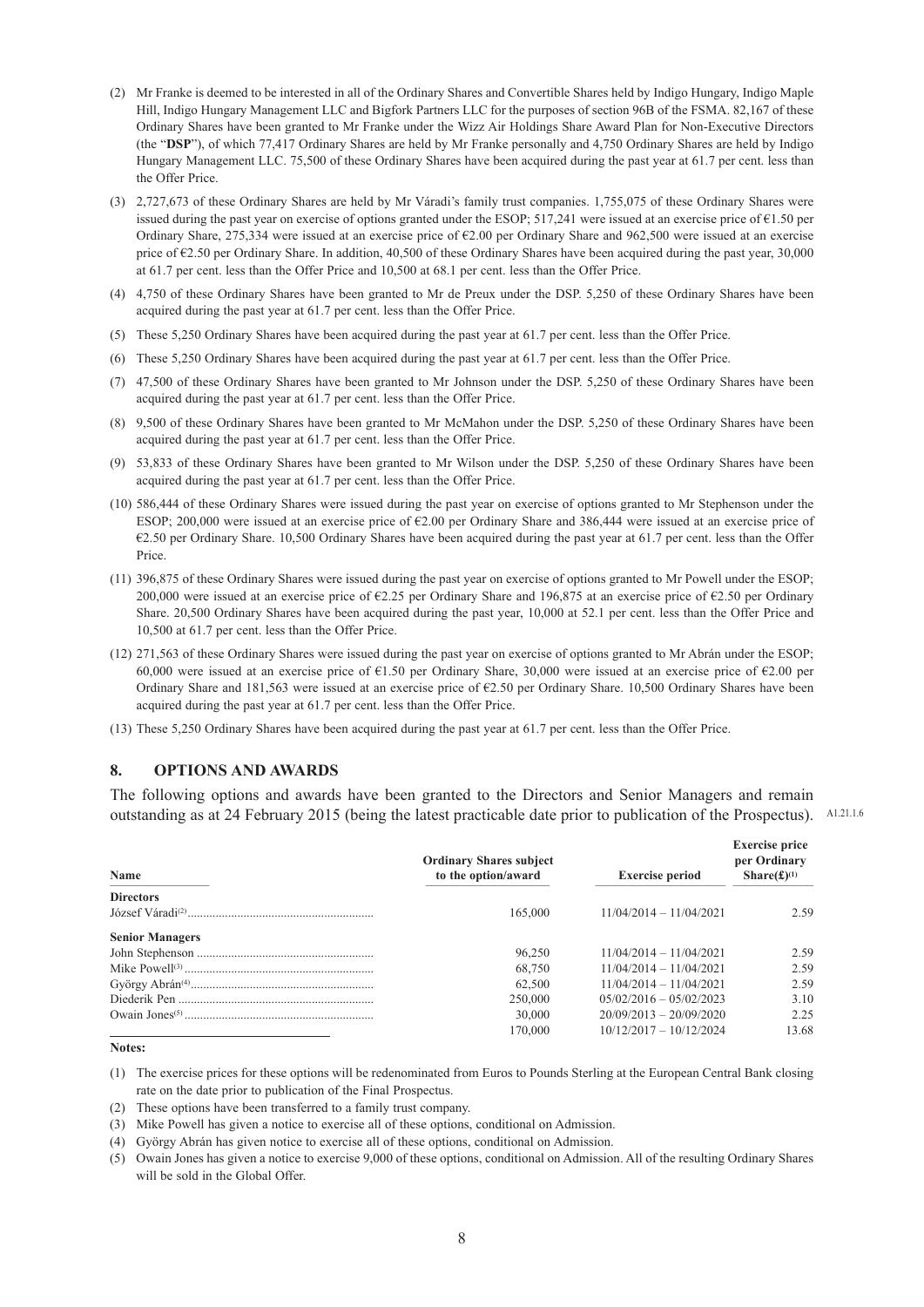- (2) Mr Franke is deemed to be interested in all of the Ordinary Shares and Convertible Shares held by Indigo Hungary, Indigo Maple Hill, Indigo Hungary Management LLC and Bigfork Partners LLC for the purposes of section 96B of the FSMA. 82,167 of these Ordinary Shares have been granted to Mr Franke under the Wizz Air Holdings Share Award Plan for Non-Executive Directors (the "**DSP**"), of which 77,417 Ordinary Shares are held by Mr Franke personally and 4,750 Ordinary Shares are held by Indigo Hungary Management LLC. 75,500 of these Ordinary Shares have been acquired during the past year at 61.7 per cent. less than the Offer Price.
- (3) 2,727,673 of these Ordinary Shares are held by Mr Váradi's family trust companies. 1,755,075 of these Ordinary Shares were issued during the past year on exercise of options granted under the ESOP; 517,241 were issued at an exercise price of €1.50 per Ordinary Share, 275,334 were issued at an exercise price of €2.00 per Ordinary Share and 962,500 were issued at an exercise price of €2.50 per Ordinary Share. In addition, 40,500 of these Ordinary Shares have been acquired during the past year, 30,000 at 61.7 per cent. less than the Offer Price and 10,500 at 68.1 per cent. less than the Offer Price.
- (4) 4,750 of these Ordinary Shares have been granted to Mr de Preux under the DSP. 5,250 of these Ordinary Shares have been acquired during the past year at 61.7 per cent. less than the Offer Price.
- (5) These 5,250 Ordinary Shares have been acquired during the past year at 61.7 per cent. less than the Offer Price.
- (6) These 5,250 Ordinary Shares have been acquired during the past year at 61.7 per cent. less than the Offer Price.
- (7) 47,500 of these Ordinary Shares have been granted to Mr Johnson under the DSP. 5,250 of these Ordinary Shares have been acquired during the past year at 61.7 per cent. less than the Offer Price.
- (8) 9,500 of these Ordinary Shares have been granted to Mr McMahon under the DSP. 5,250 of these Ordinary Shares have been acquired during the past year at 61.7 per cent. less than the Offer Price.
- (9) 53,833 of these Ordinary Shares have been granted to Mr Wilson under the DSP. 5,250 of these Ordinary Shares have been acquired during the past year at 61.7 per cent. less than the Offer Price.
- (10) 586,444 of these Ordinary Shares were issued during the past year on exercise of options granted to Mr Stephenson under the ESOP; 200,000 were issued at an exercise price of €2.00 per Ordinary Share and 386,444 were issued at an exercise price of €2.50 per Ordinary Share. 10,500 Ordinary Shares have been acquired during the past year at 61.7 per cent. less than the Offer Price.
- (11) 396,875 of these Ordinary Shares were issued during the past year on exercise of options granted to Mr Powell under the ESOP; 200,000 were issued at an exercise price of €2.25 per Ordinary Share and 196,875 at an exercise price of €2.50 per Ordinary Share. 20,500 Ordinary Shares have been acquired during the past year, 10,000 at 52.1 per cent. less than the Offer Price and 10,500 at 61.7 per cent. less than the Offer Price.
- (12) 271,563 of these Ordinary Shares were issued during the past year on exercise of options granted to Mr Abrán under the ESOP; 60,000 were issued at an exercise price of €1.50 per Ordinary Share, 30,000 were issued at an exercise price of €2.00 per Ordinary Share and 181,563 were issued at an exercise price of €2.50 per Ordinary Share. 10,500 Ordinary Shares have been acquired during the past year at 61.7 per cent. less than the Offer Price.
- (13) These 5,250 Ordinary Shares have been acquired during the past year at 61.7 per cent. less than the Offer Price.

#### **8. OPTIONS AND AWARDS**

The following options and awards have been granted to the Directors and Senior Managers and remain outstanding as at 24 February 2015 (being the latest practicable date prior to publication of the Prospectus). A1.21.1.6

| Name                   | <b>Ordinary Shares subject</b><br>to the option/award | <b>Exercise period</b>    | <b>Exercise price</b><br>per Ordinary<br>Share $(\pounds)^{(1)}$ |
|------------------------|-------------------------------------------------------|---------------------------|------------------------------------------------------------------|
| <b>Directors</b>       |                                                       |                           |                                                                  |
|                        | 165,000                                               | $11/04/2014 - 11/04/2021$ | 2.59                                                             |
| <b>Senior Managers</b> |                                                       |                           |                                                                  |
|                        | 96,250                                                | $11/04/2014 - 11/04/2021$ | 2.59                                                             |
|                        | 68,750                                                | $11/04/2014 - 11/04/2021$ | 2.59                                                             |
|                        | 62,500                                                | $11/04/2014 - 11/04/2021$ | 2.59                                                             |
|                        | 250,000                                               | $05/02/2016 - 05/02/2023$ | 3.10                                                             |
|                        | 30,000                                                | $20/09/2013 - 20/09/2020$ | 2.25                                                             |
|                        | 170.000                                               | $10/12/2017 - 10/12/2024$ | 13.68                                                            |

#### **Notes:**

(1) The exercise prices for these options will be redenominated from Euros to Pounds Sterling at the European Central Bank closing rate on the date prior to publication of the Final Prospectus.

(2) These options have been transferred to a family trust company.

(3) Mike Powell has given a notice to exercise all of these options, conditional on Admission.

(4) György Abrán has given notice to exercise all of these options, conditional on Admission.

(5) Owain Jones has given a notice to exercise 9,000 of these options, conditional on Admission. All of the resulting Ordinary Shares will be sold in the Global Offer.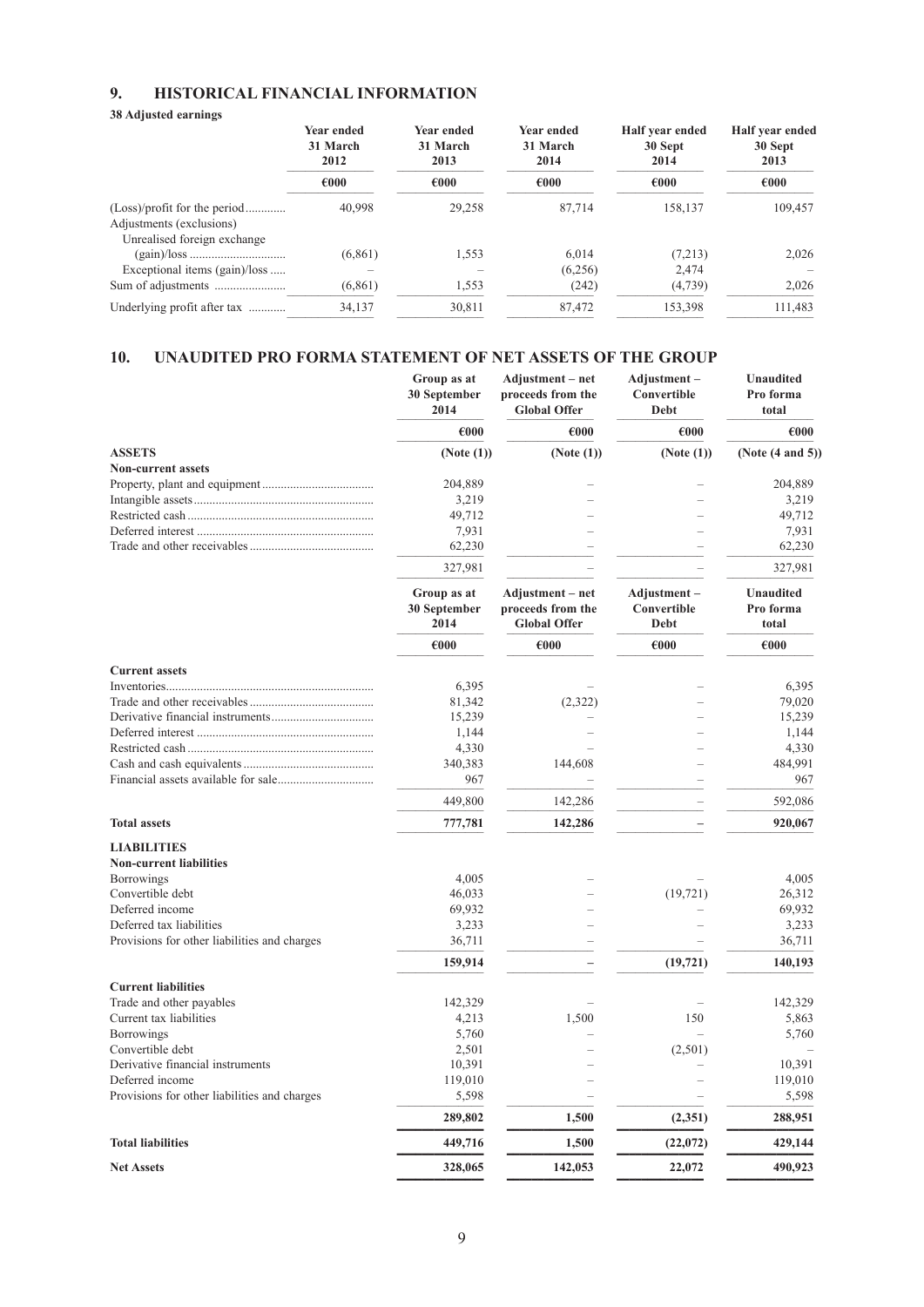## **9. HISTORICAL FINANCIAL INFORMATION**

#### **38 Adjusted earnings**

|                                                                                         | <b>Year ended</b><br>31 March<br>2012<br>€000 | <b>Year ended</b><br>31 March<br>2013 | <b>Year ended</b><br>31 March<br>2014 | Half year ended<br>30 Sept<br>2014 | Half year ended<br>30 Sept<br>2013 |
|-----------------------------------------------------------------------------------------|-----------------------------------------------|---------------------------------------|---------------------------------------|------------------------------------|------------------------------------|
|                                                                                         |                                               | €000                                  | €000                                  | €000                               | €000                               |
| (Loss)/profit for the period<br>Adjustments (exclusions)<br>Unrealised foreign exchange | 40,998                                        | 29,258                                | 87,714                                | 158,137                            | 109,457                            |
|                                                                                         | (6,861)                                       | 1,553                                 | 6.014                                 | (7.213)                            | 2,026                              |
| Exceptional items (gain)/loss                                                           |                                               |                                       | (6,256)                               | 2,474                              |                                    |
|                                                                                         | (6, 861)                                      | 1,553                                 | (242)                                 | (4,739)                            | 2,026                              |
| Underlying profit after tax                                                             | 34,137                                        | 30,811                                | 87,472                                | 153,398                            | 111,483                            |

## **10. UNAUDITED PRO FORMA STATEMENT OF NET ASSETS OF THE GROUP**

|                                              | Group as at<br>30 September<br>2014 | Adjustment – net<br>proceeds from the<br><b>Global Offer</b> | Adjustment-<br>Convertible<br>Debt | <b>Unaudited</b><br>Pro forma<br>total |
|----------------------------------------------|-------------------------------------|--------------------------------------------------------------|------------------------------------|----------------------------------------|
|                                              | €000                                | €000                                                         | €000                               | €000                                   |
| <b>ASSETS</b>                                | (Note (1))                          | (Note (1))                                                   | (Note (1))                         | (Note $(4 \text{ and } 5)$ )           |
| <b>Non-current assets</b>                    |                                     |                                                              |                                    |                                        |
|                                              | 204,889                             |                                                              |                                    | 204,889                                |
|                                              | 3,219                               |                                                              |                                    | 3,219                                  |
|                                              | 49,712                              |                                                              |                                    | 49,712                                 |
|                                              | 7,931                               |                                                              |                                    | 7,931                                  |
|                                              | 62,230                              |                                                              |                                    | 62,230                                 |
|                                              | 327,981                             |                                                              |                                    | 327,981                                |
|                                              | Group as at<br>30 September         | Adjustment - net<br>proceeds from the                        | Adjustment-<br>Convertible         | <b>Unaudited</b><br>Pro forma          |
|                                              | 2014                                | <b>Global Offer</b>                                          | Debt                               | total                                  |
|                                              | €000                                | $\epsilon$ 000                                               | $\epsilon$ 000                     | $\epsilon$ 000                         |
| <b>Current assets</b>                        |                                     |                                                              |                                    |                                        |
|                                              | 6,395                               |                                                              |                                    | 6,395                                  |
|                                              | 81,342                              | (2,322)                                                      |                                    | 79,020                                 |
|                                              | 15,239                              |                                                              |                                    | 15,239                                 |
|                                              | 1,144                               |                                                              |                                    | 1,144                                  |
|                                              | 4,330                               |                                                              |                                    | 4,330                                  |
|                                              | 340,383<br>967                      | 144,608                                                      |                                    | 484,991<br>967                         |
|                                              | 449,800                             | 142,286                                                      |                                    | 592,086                                |
| <b>Total assets</b>                          | 777,781                             | 142,286                                                      |                                    | 920,067                                |
| <b>LIABILITIES</b>                           |                                     |                                                              |                                    |                                        |
| <b>Non-current liabilities</b>               |                                     |                                                              |                                    |                                        |
| <b>Borrowings</b>                            | 4,005                               |                                                              |                                    | 4,005                                  |
| Convertible debt                             | 46,033                              |                                                              | (19, 721)                          | 26,312                                 |
| Deferred income                              | 69,932                              |                                                              |                                    | 69,932                                 |
| Deferred tax liabilities                     | 3,233                               |                                                              |                                    | 3,233                                  |
| Provisions for other liabilities and charges | 36,711                              |                                                              |                                    | 36,711                                 |
|                                              | 159,914                             |                                                              | (19, 721)                          | 140,193                                |
| <b>Current liabilities</b>                   |                                     |                                                              |                                    |                                        |
| Trade and other payables                     | 142,329                             |                                                              |                                    | 142,329                                |
| Current tax liabilities                      | 4,213                               | 1,500                                                        | 150                                | 5,863                                  |
| <b>Borrowings</b>                            | 5,760                               |                                                              |                                    | 5,760                                  |
| Convertible debt                             | 2,501                               |                                                              | (2,501)                            |                                        |
| Derivative financial instruments             | 10,391                              |                                                              |                                    | 10,391                                 |
| Deferred income                              | 119,010                             |                                                              |                                    | 119,010                                |
| Provisions for other liabilities and charges | 5,598                               |                                                              |                                    | 5,598                                  |
|                                              | 289,802                             | 1,500                                                        | (2,351)                            | 288,951                                |
| <b>Total liabilities</b>                     | 449,716                             | 1,500                                                        | (22,072)                           | 429,144                                |
| <b>Net Assets</b>                            | 328,065                             | 142,053                                                      | 22,072                             | 490,923                                |

 **–––––––––––––– –––––––––––––– –––––––––––––– ––––––––––––––**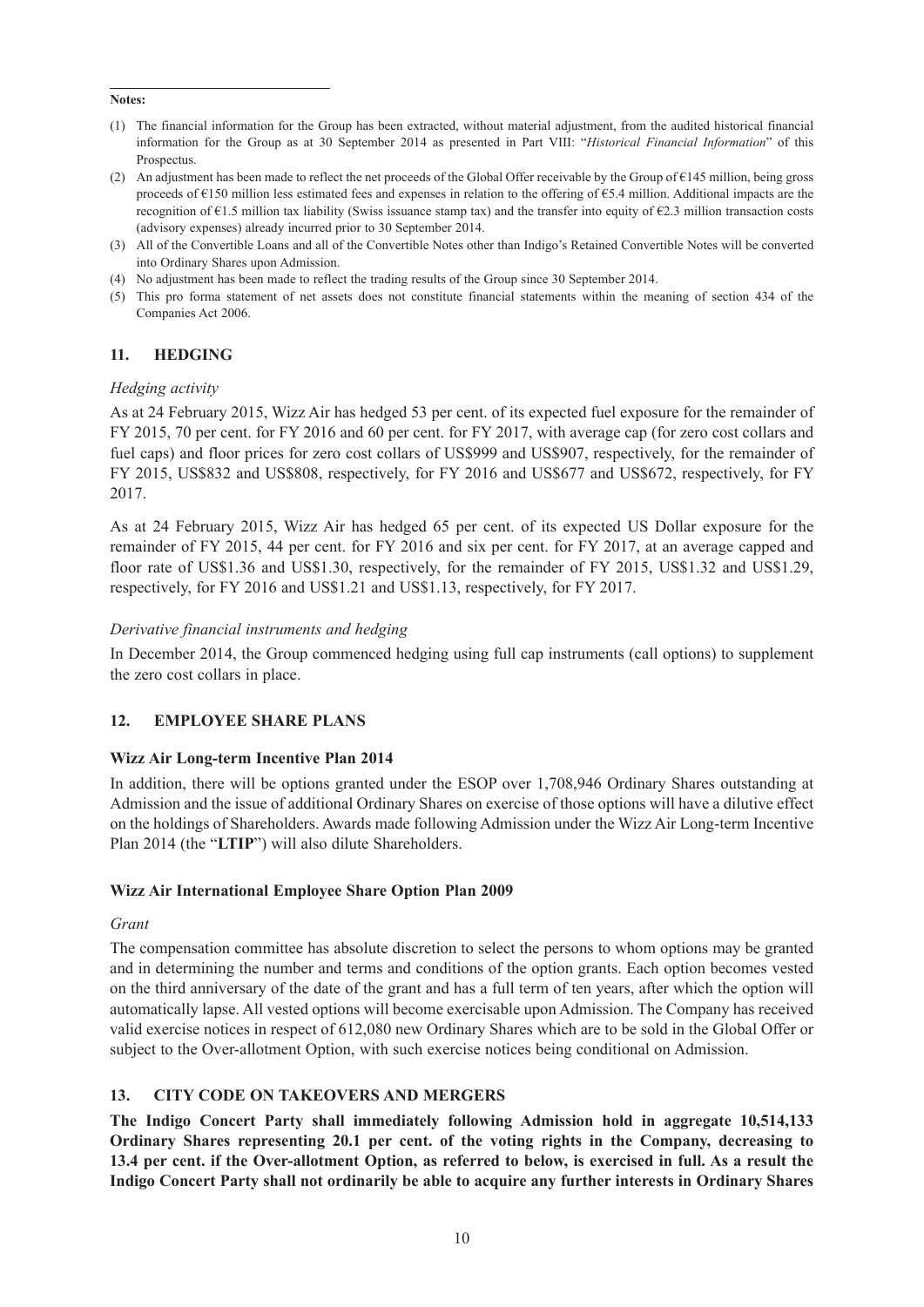#### **Notes:**

- (1) The financial information for the Group has been extracted, without material adjustment, from the audited historical financial information for the Group as at 30 September 2014 as presented in Part VIII: "*Historical Financial Information*" of this Prospectus.
- (2) An adjustment has been made to reflect the net proceeds of the Global Offer receivable by the Group of  $\epsilon$ 145 million, being gross proceeds of €150 million less estimated fees and expenses in relation to the offering of €5.4 million. Additional impacts are the recognition of €1.5 million tax liability (Swiss issuance stamp tax) and the transfer into equity of €2.3 million transaction costs (advisory expenses) already incurred prior to 30 September 2014.
- (3) All of the Convertible Loans and all of the Convertible Notes other than Indigo's Retained Convertible Notes will be converted into Ordinary Shares upon Admission.
- (4) No adjustment has been made to reflect the trading results of the Group since 30 September 2014.
- (5) This pro forma statement of net assets does not constitute financial statements within the meaning of section 434 of the Companies Act 2006.

#### **11. HEDGING**

#### *Hedging activity*

As at 24 February 2015, Wizz Air has hedged 53 per cent. of its expected fuel exposure for the remainder of FY 2015, 70 per cent. for FY 2016 and 60 per cent. for FY 2017, with average cap (for zero cost collars and fuel caps) and floor prices for zero cost collars of US\$999 and US\$907, respectively, for the remainder of FY 2015, US\$832 and US\$808, respectively, for FY 2016 and US\$677 and US\$672, respectively, for FY 2017.

As at 24 February 2015, Wizz Air has hedged 65 per cent. of its expected US Dollar exposure for the remainder of FY 2015, 44 per cent. for FY 2016 and six per cent. for FY 2017, at an average capped and floor rate of US\$1.36 and US\$1.30, respectively, for the remainder of FY 2015, US\$1.32 and US\$1.29, respectively, for FY 2016 and US\$1.21 and US\$1.13, respectively, for FY 2017.

#### *Derivative financial instruments and hedging*

In December 2014, the Group commenced hedging using full cap instruments (call options) to supplement the zero cost collars in place.

#### **12. EMPLOYEE SHARE PLANS**

#### **Wizz Air Long-term Incentive Plan 2014**

In addition, there will be options granted under the ESOP over 1,708,946 Ordinary Shares outstanding at Admission and the issue of additional Ordinary Shares on exercise of those options will have a dilutive effect on the holdings of Shareholders. Awards made following Admission under the Wizz Air Long-term Incentive Plan 2014 (the "**LTIP**") will also dilute Shareholders.

#### **Wizz Air International Employee Share Option Plan 2009**

#### *Grant*

The compensation committee has absolute discretion to select the persons to whom options may be granted and in determining the number and terms and conditions of the option grants. Each option becomes vested on the third anniversary of the date of the grant and has a full term of ten years, after which the option will automatically lapse. All vested options will become exercisable upon Admission. The Company has received valid exercise notices in respect of 612,080 new Ordinary Shares which are to be sold in the Global Offer or subject to the Over-allotment Option, with such exercise notices being conditional on Admission.

#### **13. CITY CODE ON TAKEOVERS AND MERGERS**

**The Indigo Concert Party shall immediately following Admission hold in aggregate 10,514,133 Ordinary Shares representing 20.1 per cent. of the voting rights in the Company, decreasing to** 13.4 per cent. if the Over-allotment Option, as referred to below, is exercised in full. As a result the **Indigo Concert Party shall not ordinarily be able to acquire any further interests in Ordinary Shares**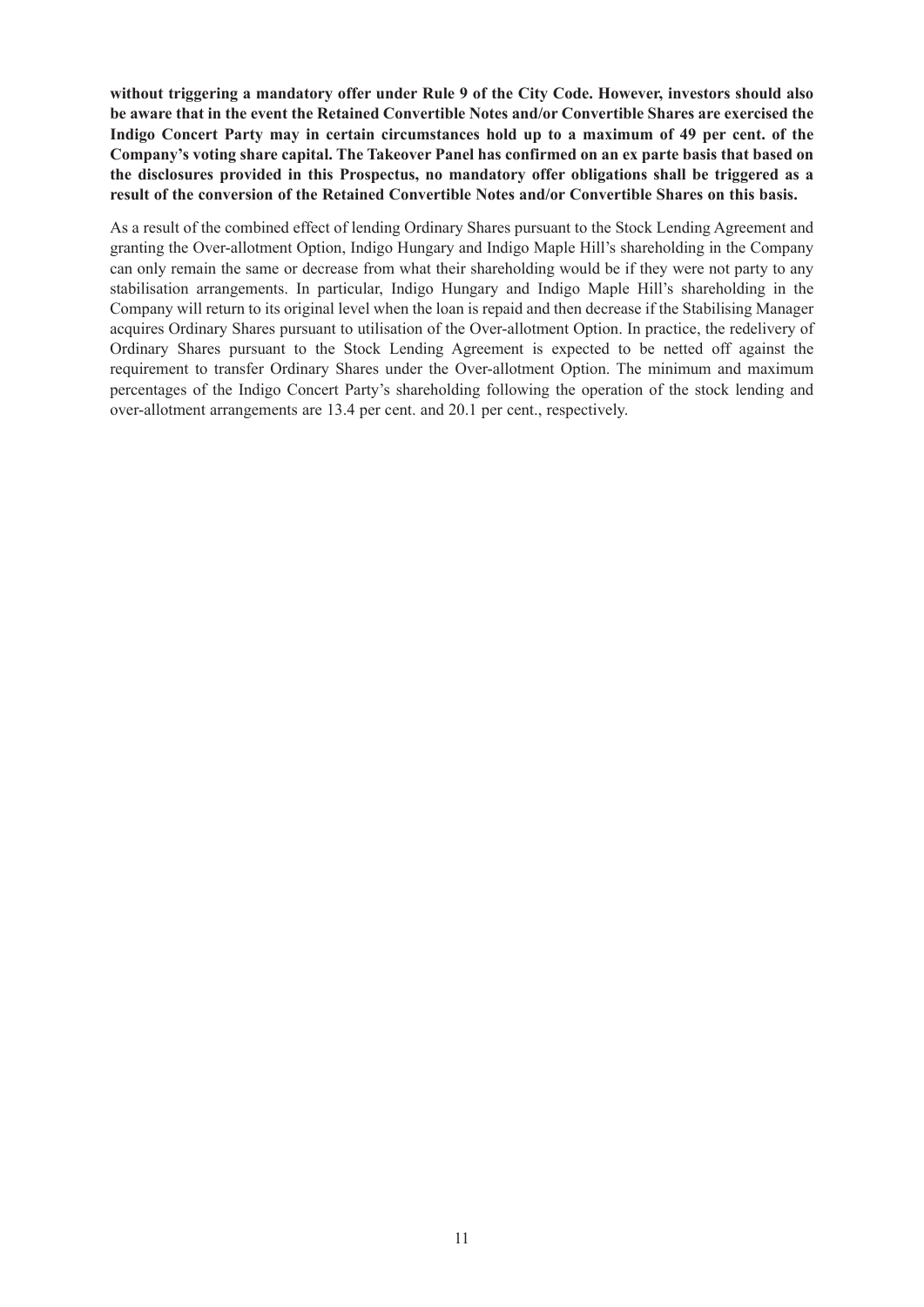**without triggering a mandatory offer under Rule 9 of the City Code. However, investors should also be aware that in the event the Retained Convertible Notes and/or Convertible Shares are exercised the Indigo Concert Party may in certain circumstances hold up to a maximum of 49 per cent. of the Company's voting share capital. The Takeover Panel has confirmed on an ex parte basis that based on the disclosures provided in this Prospectus, no mandatory offer obligations shall be triggered as a result of the conversion of the Retained Convertible Notes and/or Convertible Shares on this basis.**

As a result of the combined effect of lending Ordinary Shares pursuant to the Stock Lending Agreement and granting the Over-allotment Option, Indigo Hungary and Indigo Maple Hill's shareholding in the Company can only remain the same or decrease from what their shareholding would be if they were not party to any stabilisation arrangements. In particular, Indigo Hungary and Indigo Maple Hill's shareholding in the Company will return to its original level when the loan is repaid and then decrease if the Stabilising Manager acquires Ordinary Shares pursuant to utilisation of the Over-allotment Option. In practice, the redelivery of Ordinary Shares pursuant to the Stock Lending Agreement is expected to be netted off against the requirement to transfer Ordinary Shares under the Over-allotment Option. The minimum and maximum percentages of the Indigo Concert Party's shareholding following the operation of the stock lending and over-allotment arrangements are 13.4 per cent. and 20.1 per cent., respectively.